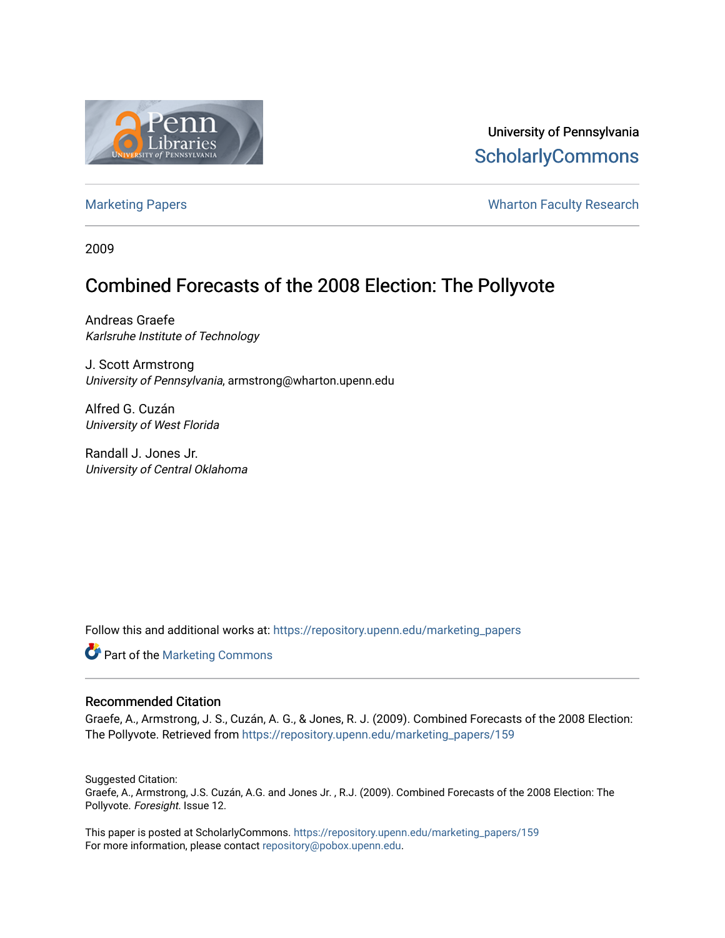

University of Pennsylvania **ScholarlyCommons** 

[Marketing Papers](https://repository.upenn.edu/marketing_papers) **Marketing Papers Marketing Papers Wharton Faculty Research** 

2009

## Combined Forecasts of the 2008 Election: The Pollyvote

Andreas Graefe Karlsruhe Institute of Technology

J. Scott Armstrong University of Pennsylvania, armstrong@wharton.upenn.edu

Alfred G. Cuzán University of West Florida

Randall J. Jones Jr. University of Central Oklahoma

Follow this and additional works at: [https://repository.upenn.edu/marketing\\_papers](https://repository.upenn.edu/marketing_papers?utm_source=repository.upenn.edu%2Fmarketing_papers%2F159&utm_medium=PDF&utm_campaign=PDFCoverPages)

Part of the [Marketing Commons](http://network.bepress.com/hgg/discipline/638?utm_source=repository.upenn.edu%2Fmarketing_papers%2F159&utm_medium=PDF&utm_campaign=PDFCoverPages)

#### Recommended Citation

Graefe, A., Armstrong, J. S., Cuzán, A. G., & Jones, R. J. (2009). Combined Forecasts of the 2008 Election: The Pollyvote. Retrieved from [https://repository.upenn.edu/marketing\\_papers/159](https://repository.upenn.edu/marketing_papers/159?utm_source=repository.upenn.edu%2Fmarketing_papers%2F159&utm_medium=PDF&utm_campaign=PDFCoverPages) 

Suggested Citation: Graefe, A., Armstrong, J.S. Cuzán, A.G. and Jones Jr. , R.J. (2009). Combined Forecasts of the 2008 Election: The Pollyvote. Foresight. Issue 12.

This paper is posted at ScholarlyCommons. [https://repository.upenn.edu/marketing\\_papers/159](https://repository.upenn.edu/marketing_papers/159)  For more information, please contact [repository@pobox.upenn.edu.](mailto:repository@pobox.upenn.edu)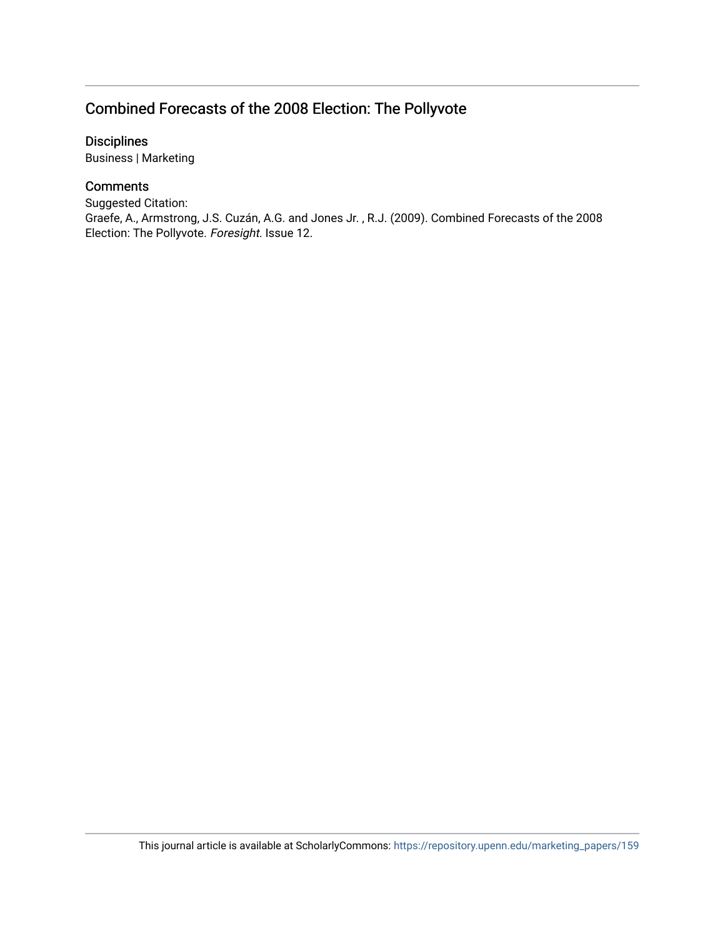### Combined Forecasts of the 2008 Election: The Pollyvote

Disciplines

Business | Marketing

### **Comments**

Suggested Citation: Graefe, A., Armstrong, J.S. Cuzán, A.G. and Jones Jr. , R.J. (2009). Combined Forecasts of the 2008 Election: The Pollyvote. Foresight. Issue 12.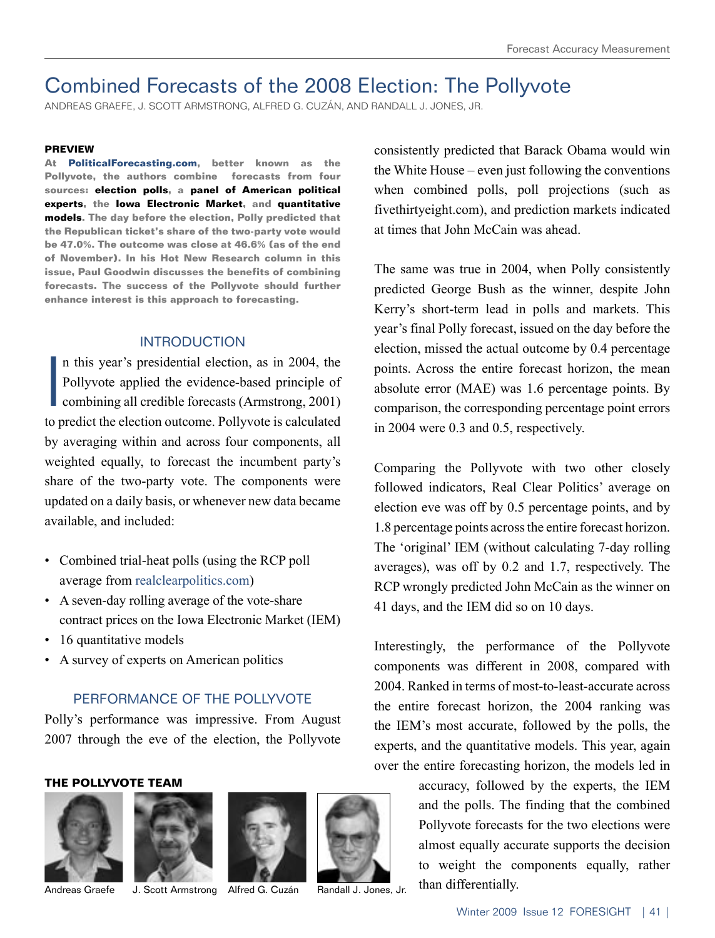# Combined Forecasts of the 2008 Election: The Pollyvote

ANDREAS GRAEFE, J. SCOTT ARMSTRONG, ALFRED G. CUZÁN, AND RANDALL J. JONES, JR.

#### **PREVIEW**

**At PoliticalForecasting.com, better known as the Pollyvote, the authors combine forecasts from four sources: election polls, a panel of American political experts, the Iowa Electronic Market, and quantitative models. The day before the election, Polly predicted that the Republican ticket's share of the two-party vote would be 47.0%. The outcome was close at 46.6% (as of the end of November). In his Hot New Research column in this issue, Paul Goodwin discusses the benefits of combining forecasts. The success of the Pollyvote should further enhance interest is this approach to forecasting.**

#### INTRODUCTION

I n this year's presidential election, as in 2004, the Pollyvote applied the evidence-based principle of combining all credible forecasts (Armstrong, 2001) to predict the election outcome. Pollyvote is calculated by averaging within and across four components, all weighted equally, to forecast the incumbent party's share of the two-party vote. The components were updated on a daily basis, or whenever new data became available, and included:

- Combined trial-heat polls (using the RCP poll average from realclearpolitics.com)
- A seven-day rolling average of the vote-share contract prices on the Iowa Electronic Market (IEM)
- 16 quantitative models
- A survey of experts on American politics

#### PERFORMANCE OF THE POLLYVOTE

Polly's performance was impressive. From August 2007 through the eve of the election, the Pollyvote

#### **THE POLLYVOTE TEAM**







consistently predicted that Barack Obama would win the White House – even just following the conventions when combined polls, poll projections (such as fivethirtyeight.com), and prediction markets indicated at times that John McCain was ahead.

The same was true in 2004, when Polly consistently predicted George Bush as the winner, despite John Kerry's short-term lead in polls and markets. This year's final Polly forecast, issued on the day before the election, missed the actual outcome by 0.4 percentage points. Across the entire forecast horizon, the mean absolute error (MAE) was 1.6 percentage points. By comparison, the corresponding percentage point errors in 2004 were 0.3 and 0.5, respectively.

Comparing the Pollyvote with two other closely followed indicators, Real Clear Politics' average on election eve was off by 0.5 percentage points, and by 1.8 percentage points across the entire forecast horizon. The 'original' IEM (without calculating 7-day rolling averages), was off by 0.2 and 1.7, respectively. The RCP wrongly predicted John McCain as the winner on 41 days, and the IEM did so on 10 days.

Interestingly, the performance of the Pollyvote components was different in 2008, compared with 2004. Ranked in terms of most-to-least-accurate across the entire forecast horizon, the 2004 ranking was the IEM's most accurate, followed by the polls, the experts, and the quantitative models. This year, again over the entire forecasting horizon, the models led in

accuracy, followed by the experts, the IEM and the polls. The finding that the combined Pollyvote forecasts for the two elections were almost equally accurate supports the decision to weight the components equally, rather Andreas Graefe J. Scott Armstrong Alfred G. Cuzán Randall J. Jones, Jr. than differentially.